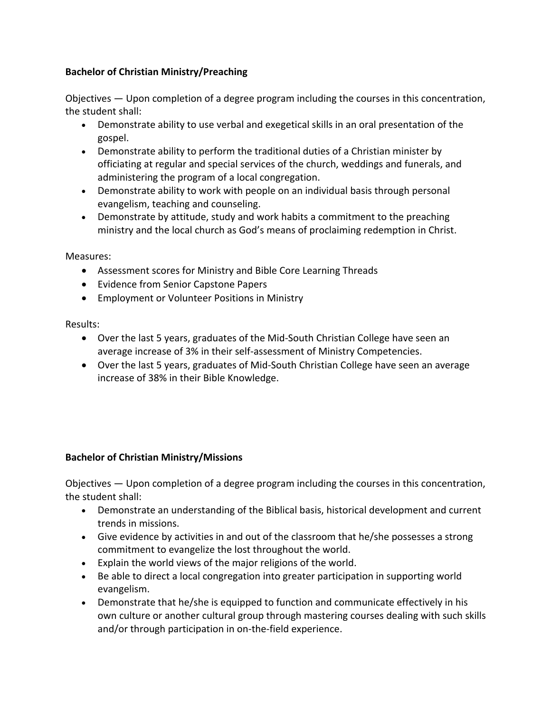## **Bachelor of Christian Ministry/Preaching**

Objectives — Upon completion of a degree program including the courses in this concentration, the student shall:

- Demonstrate ability to use verbal and exegetical skills in an oral presentation of the gospel.
- Demonstrate ability to perform the traditional duties of a Christian minister by officiating at regular and special services of the church, weddings and funerals, and administering the program of a local congregation.
- Demonstrate ability to work with people on an individual basis through personal evangelism, teaching and counseling.
- Demonstrate by attitude, study and work habits a commitment to the preaching ministry and the local church as God's means of proclaiming redemption in Christ.

Measures:

- Assessment scores for Ministry and Bible Core Learning Threads
- Evidence from Senior Capstone Papers
- Employment or Volunteer Positions in Ministry

Results:

- Over the last 5 years, graduates of the Mid-South Christian College have seen an average increase of 3% in their self-assessment of Ministry Competencies.
- Over the last 5 years, graduates of Mid-South Christian College have seen an average increase of 38% in their Bible Knowledge.

## **Bachelor of Christian Ministry/Missions**

Objectives — Upon completion of a degree program including the courses in this concentration, the student shall:

- Demonstrate an understanding of the Biblical basis, historical development and current trends in missions.
- Give evidence by activities in and out of the classroom that he/she possesses a strong commitment to evangelize the lost throughout the world.
- Explain the world views of the major religions of the world.
- Be able to direct a local congregation into greater participation in supporting world evangelism.
- Demonstrate that he/she is equipped to function and communicate effectively in his own culture or another cultural group through mastering courses dealing with such skills and/or through participation in on-the-field experience.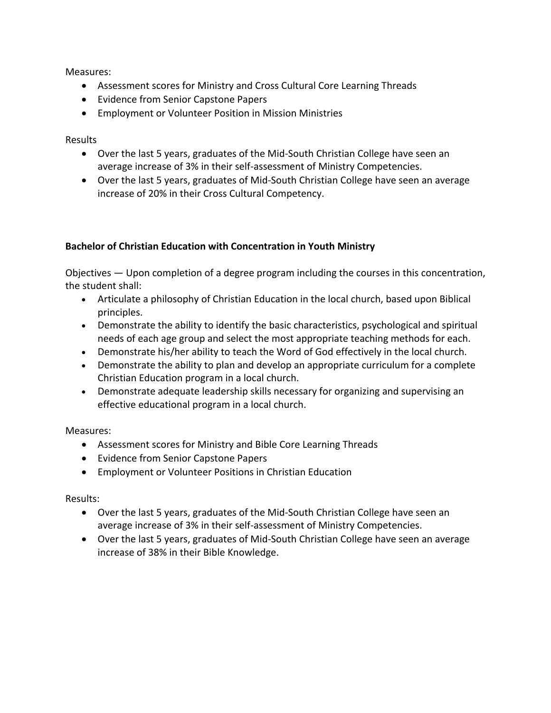Measures:

- Assessment scores for Ministry and Cross Cultural Core Learning Threads
- Evidence from Senior Capstone Papers
- Employment or Volunteer Position in Mission Ministries

Results

- Over the last 5 years, graduates of the Mid-South Christian College have seen an average increase of 3% in their self-assessment of Ministry Competencies.
- Over the last 5 years, graduates of Mid-South Christian College have seen an average increase of 20% in their Cross Cultural Competency.

## **Bachelor of Christian Education with Concentration in Youth Ministry**

Objectives — Upon completion of a degree program including the courses in this concentration, the student shall:

- Articulate a philosophy of Christian Education in the local church, based upon Biblical principles.
- Demonstrate the ability to identify the basic characteristics, psychological and spiritual needs of each age group and select the most appropriate teaching methods for each.
- Demonstrate his/her ability to teach the Word of God effectively in the local church.
- Demonstrate the ability to plan and develop an appropriate curriculum for a complete Christian Education program in a local church.
- Demonstrate adequate leadership skills necessary for organizing and supervising an effective educational program in a local church.

Measures:

- Assessment scores for Ministry and Bible Core Learning Threads
- Evidence from Senior Capstone Papers
- Employment or Volunteer Positions in Christian Education

Results:

- Over the last 5 years, graduates of the Mid-South Christian College have seen an average increase of 3% in their self-assessment of Ministry Competencies.
- Over the last 5 years, graduates of Mid-South Christian College have seen an average increase of 38% in their Bible Knowledge.